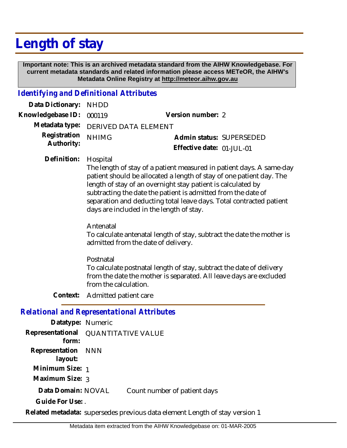## **Length of stay**

 **Important note: This is an archived metadata standard from the AIHW Knowledgebase. For current metadata standards and related information please access METeOR, the AIHW's Metadata Online Registry at http://meteor.aihw.gov.au**

## *Identifying and Definitional Attributes*

| Data Dictionary: NHDD         |                                     |                              |  |
|-------------------------------|-------------------------------------|------------------------------|--|
| Knowledgebase ID: 000119      |                                     | Version number: 2            |  |
|                               | Metadata type: DERIVED DATA ELEMENT |                              |  |
| Registration <sub>NHIMG</sub> |                                     | Admin status: SUPERSEDED     |  |
| Authority:                    |                                     | Effective date: $01$ -JUL-01 |  |

Hospital **Definition:**

> The length of stay of a patient measured in patient days. A same-day patient should be allocated a length of stay of one patient day. The length of stay of an overnight stay patient is calculated by subtracting the date the patient is admitted from the date of separation and deducting total leave days. Total contracted patient days are included in the length of stay.

Antenatal

To calculate antenatal length of stay, subtract the date the mother is admitted from the date of delivery.

Postnatal

To calculate postnatal length of stay, subtract the date of delivery from the date the mother is separated. All leave days are excluded from the calculation.

**Context:** Admitted patient care

## *Relational and Representational Attributes*

| Datatype: Numeric             |                           |                              |
|-------------------------------|---------------------------|------------------------------|
| Representational<br>form:     | <b>QUANTITATIVE VALUE</b> |                              |
| Representation NNN<br>layout: |                           |                              |
| Minimum Size: 1               |                           |                              |
| Maximum Size: 3               |                           |                              |
| Data Domain: NOVAL            |                           | Count number of patient days |
| Guide For Use:.               |                           |                              |

**Related metadata:** supersedes previous data element Length of stay version 1